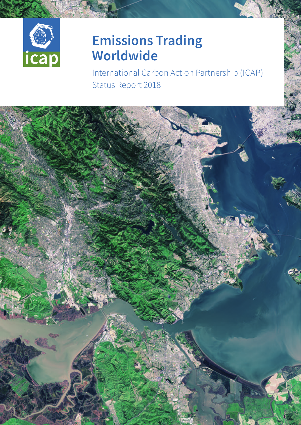

# **Emissions Trading Worldwide**

International Carbon Action Partnership (ICAP) Status Report 2018

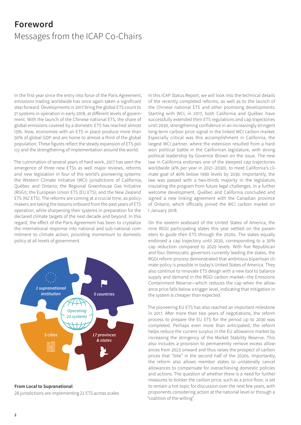## <span id="page-1-0"></span>**Foreword** Messages from the ICAP Co-Chairs

In the first year since the entry into force of the Paris Agreement, emissions trading worldwide has once again taken a significant step forward. Developments in 2017 bring the global ETS count to 21 systems in operation in early 2018, at different levels of government. With the launch of the Chinese national ETS, the share of global emissions covered by a domestic ETS has reached almost 15%. Now, economies with an ETS in place produce more than 50% of global GDP and are home to almost a third of the global population. These figures reflect the steady expansion of ETS policy and the strengthening of implementation around the world.

The culmination of several years of hard work, 2017 has seen the emergence of three new ETSs as well major reviews, reforms and new legislation in four of the world's pioneering systems: the Western Climate Initiative (WCI) jurisdictions of California, Québec and Ontario; the Regional Greenhouse Gas Initiative (RGGI); the European Union ETS (EU ETS); and the New Zealand ETS (NZ ETS). The reforms are coming at a crucial time, as policymakers are taking the lessons onboard from the past years of ETS operation, while sharpening their systems in preparation for the declared climate targets of the next decade and beyond. In this regard, the effect of the Paris Agreement has been to crystalize the international response into national and sub-national commitment to climate action, providing momentum to domestic policy at all levels of government.



**From Local to Supranational**

28 jurisdictions are implementing 21 ETS across scales

In this ICAP Status Report, we will look into the technical details of the recently completed reforms, as well as to the launch of the Chinese national ETS and other promising developments. Starting with WCI, in 2017, both California and Québec have successfully extended their ETS regulations and cap trajectories until 2030, strengthening confidence in an increasingly stringent long-term carbon price signal in the linked WCI carbon market. Especially critical was this accomplishment in California, the largest WCI partner, where the extension resulted from a hardwon political battle in the Californian legislature, with strong political leadership by Governor Brown on the issue. The new law in California endorses one of the steepest cap trajectories worldwide (4% per year in 2021–2030), to meet California's climate goal of 40% below 1990 levels by 2030. Importantly, the law was passed with a two-thirds majority in the legislature, insulating the program from future legal challenges. In a further welcome development, Québec and California concluded and signed a new linking agreement with the Canadian province of Ontario, which officially joined the WCI carbon market on 1 January 2018.

On the eastern seaboard of the United States of America, the nine RGGI participating states this year settled on the parameters to guide their ETS through the 2020s. The states equally endorsed a cap trajectory until 2030, corresponding to a 30% cap reduction compared to 2020 levels. With five Republican and four Democratic governors currently leading the states, the RGGI reform process demonstrated that ambitious bipartisan climate policy is possible in today's United States of America. They also continue to innovate ETS design with a new tool to balance supply and demand in the RGGI carbon market—the Emissions Containment Reserve—which reduces the cap when the allowance price falls below a trigger level, indicating that mitigation in the system is cheaper than expected.

The pioneering EU ETS has also reached an important milestone in 2017. After more than two years of negotiations, the reform process to prepare the EU ETS for the period up to 2030 was completed. Perhaps even more than anticipated, the reform helps reduce the current surplus in the EU allowance market by increasing the stringency of the Market Stability Reserve. This also includes a provision to permanently remove excess allowances from 2023 onward and thus raises the prospect of carbon prices that "bite" in the second half of the 2020s. Importantly, the reform also allows member states to unilaterally cancel allowances to compensate for overachieving domestic policies and actions. The question of whether there is a need for further measures to bolster the carbon price, such as a price floor, is set to remain a hot topic for discussion over the next few years, with proponents considering action at the national level or through a "coalition of the willing".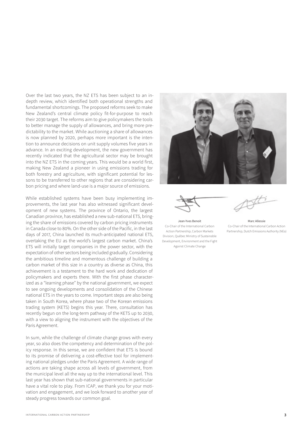Over the last two years, the NZ ETS has been subject to an indepth review, which identified both operational strengths and fundamental shortcomings. The proposed reforms seek to make New Zealand's central climate policy fit-for-purpose to reach their 2030 target. The reforms aim to give policymakers the tools to better manage the supply of allowances, and bring more predictability to the market. While auctioning a share of allowances is now planned by 2020, perhaps more important is the intention to announce decisions on unit supply volumes five years in advance. In an exciting development, the new government has recently indicated that the agricultural sector may be brought into the NZ ETS in the coming years. This would be a world first, making New Zealand a pioneer in using emissions trading for both forestry and agriculture, with significant potential for lessons to be transferred to other regions that are considering carbon pricing and where land-use is a major source of emissions.

While established systems have been busy implementing improvements, the last year has also witnessed significant development of new systems. The province of Ontario, the largest Canadian province, has established a new sub-national ETS, bringing the share of emissions covered by carbon pricing instruments in Canada close to 80%. On the other side of the Pacific, in the last days of 2017, China launched its much-anticipated national ETS, overtaking the EU as the world's largest carbon market. China's ETS will initially target companies in the power sector, with the expectation of other sectors being included gradually. Considering the ambitious timeline and momentous challenge of building a carbon market of this size in a country as diverse as China, this achievement is a testament to the hard work and dedication of policymakers and experts there. With the first phase characterized as a "learning phase" by the national government, we expect to see ongoing developments and consolidation of the Chinese national ETS in the years to come. Important steps are also being taken in South Korea, where phase two of the Korean emissions trading system (KETS) begins this year. There, consultation has recently begun on the long-term pathway of the KETS up to 2030, with a view to aligning the instrument with the objectives of the Paris Agreement.

In sum, while the challenge of climate change grows with every year, so also does the competency and determination of the policy response. In this sense, we are confident that ETS is bound to its promise of delivering a cost-effective tool for implementing national pledges under the Paris Agreement. A wide range of actions are taking shape across all levels of government, from the municipal level all the way up to the international level. This last year has shown that sub-national governments in particular have a vital role to play. From ICAP, we thank you for your motivation and engagement, and we look forward to another year of steady progress towards our common goal.





Jean-Yves Benoit Co-Chair of the International Carbon Action Partnership, Carbon Markets Division, Québec Ministry of Sustainable Development, Environment and the Fight Against Climate Change

Marc Allessie Co-Chair of the International Carbon Action Partnership, Dutch Emissions Authority (NEa)